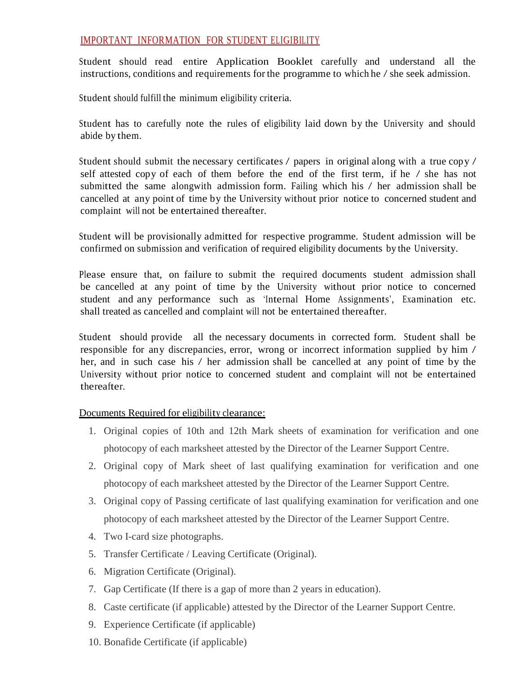## IMPORTANT INFORMATION FOR STUDENT ELIGIBILITY

Student should read entire Application Booklet carefully and understand all the instructions, conditions and requirements for the programme to which he / she seek admission.

Student should fulfill the minimum eligibility criteria.

Student has to carefully note the rules of eligibility laid down by the University and should abide by them.

Student should submit the necessary certificates / papers in original along with a true copy / self attested copy of each of them before the end of the first term, if he / she has not submitted the same alongwith admission form. Failing which his / her admission shall be cancelled at any point of time by the University without prior notice to concerned student and complaint will not be entertained thereafter.

Student will be provisionally admitted for respective programme. Student admission will be confirmed on submission and verification of required eligibility documents by the University.

Please ensure that, on failure to submit the required documents student admission shall be cancelled at any point of time by the University without prior notice to concerned student and any performance such as 'Internal Home Assignments', Examination etc. shall treated as cancelled and complaint will not be entertained thereafter.

Student should provide all the necessary documents in corrected form. Student shall be responsible for any discrepancies, error, wrong or incorrect information supplied by him / her, and in such case his / her admission shall be cancelled at any point of time by the University without prior notice to concerned student and complaint will not be entertained thereafter.

Documents Required for eligibility clearance:

- 1. Original copies of 10th and 12th Mark sheets of examination for verification and one photocopy of each marksheet attested by the Director of the Learner Support Centre.
- 2. Original copy of Mark sheet of last qualifying examination for verification and one photocopy of each marksheet attested by the Director of the Learner Support Centre.
- 3. Original copy of Passing certificate of last qualifying examination for verification and one photocopy of each marksheet attested by the Director of the Learner Support Centre.
- 4. Two I-card size photographs.
- 5. Transfer Certificate / Leaving Certificate (Original).
- 6. Migration Certificate (Original).
- 7. Gap Certificate (If there is a gap of more than 2 years in education).
- 8. Caste certificate (if applicable) attested by the Director of the Learner Support Centre.
- 9. Experience Certificate (if applicable)
- 10. Bonafide Certificate (if applicable)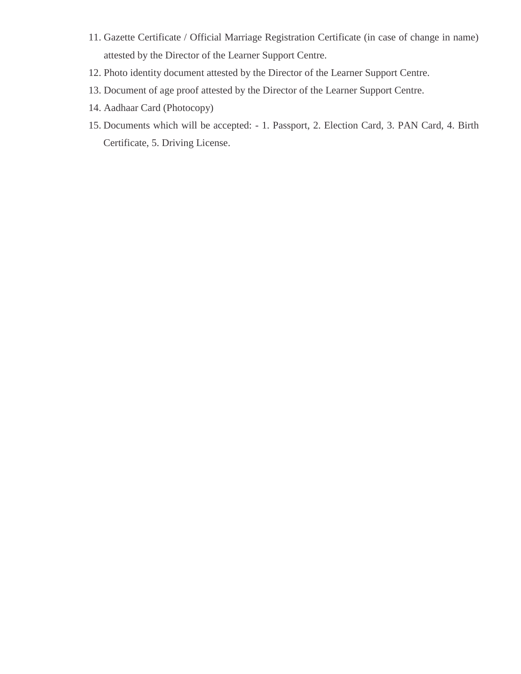- 11. Gazette Certificate / Official Marriage Registration Certificate (in case of change in name) attested by the Director of the Learner Support Centre.
- 12. Photo identity document attested by the Director of the Learner Support Centre.
- 13. Document of age proof attested by the Director of the Learner Support Centre.
- 14. Aadhaar Card (Photocopy)
- 15. Documents which will be accepted: 1. Passport, 2. Election Card, 3. PAN Card, 4. Birth Certificate, 5. Driving License.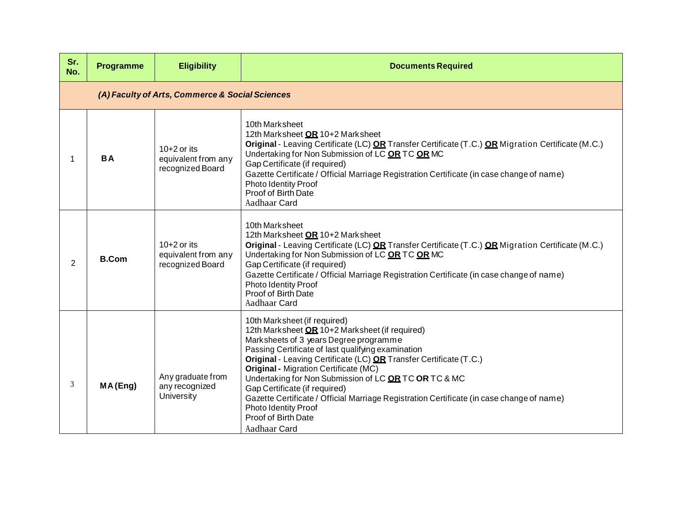| Sr.<br>No.     | <b>Programme</b>                                | <b>Eligibility</b>                                       | <b>Documents Required</b>                                                                                                                                                                                                                                                                                                                                                                                                                                                                                                                                  |  |
|----------------|-------------------------------------------------|----------------------------------------------------------|------------------------------------------------------------------------------------------------------------------------------------------------------------------------------------------------------------------------------------------------------------------------------------------------------------------------------------------------------------------------------------------------------------------------------------------------------------------------------------------------------------------------------------------------------------|--|
|                | (A) Faculty of Arts, Commerce & Social Sciences |                                                          |                                                                                                                                                                                                                                                                                                                                                                                                                                                                                                                                                            |  |
| 1              | <b>BA</b>                                       | $10+2$ or its<br>equivalent from any<br>recognized Board | 10th Marksheet<br>12th Marksheet OR 10+2 Marksheet<br>Original - Leaving Certificate (LC) OR Transfer Certificate (T.C.) OR Migration Certificate (M.C.)<br>Undertaking for Non Submission of LC OR TC OR MC<br>Gap Certificate (if required)<br>Gazette Certificate / Official Marriage Registration Certificate (in case change of name)<br>Photo Identity Proof<br>Proof of Birth Date<br>Aadhaar Card                                                                                                                                                  |  |
| $\overline{2}$ | <b>B.Com</b>                                    | $10+2$ or its<br>equivalent from any<br>recognized Board | 10th Marksheet<br>12th Marksheet OR 10+2 Marksheet<br>Original - Leaving Certificate (LC) OR Transfer Certificate (T.C.) OR Migration Certificate (M.C.)<br>Undertaking for Non Submission of LC OR TC OR MC<br>Gap Certificate (if required)<br>Gazette Certificate / Official Marriage Registration Certificate (in case change of name)<br><b>Photo Identity Proof</b><br>Proof of Birth Date<br>Aadhaar Card                                                                                                                                           |  |
| 3              | MA(Eng)                                         | Any graduate from<br>any recognized<br>University        | 10th Marksheet (if required)<br>12th Marksheet OR 10+2 Marksheet (if required)<br>Marksheets of 3 years Degree programme<br>Passing Certificate of last qualifying examination<br>Original - Leaving Certificate (LC) OR Transfer Certificate (T.C.)<br><b>Original - Migration Certificate (MC)</b><br>Undertaking for Non Submission of LC OR TC OR TC & MC<br>Gap Certificate (if required)<br>Gazette Certificate / Official Marriage Registration Certificate (in case change of name)<br>Photo Identity Proof<br>Proof of Birth Date<br>Aadhaar Card |  |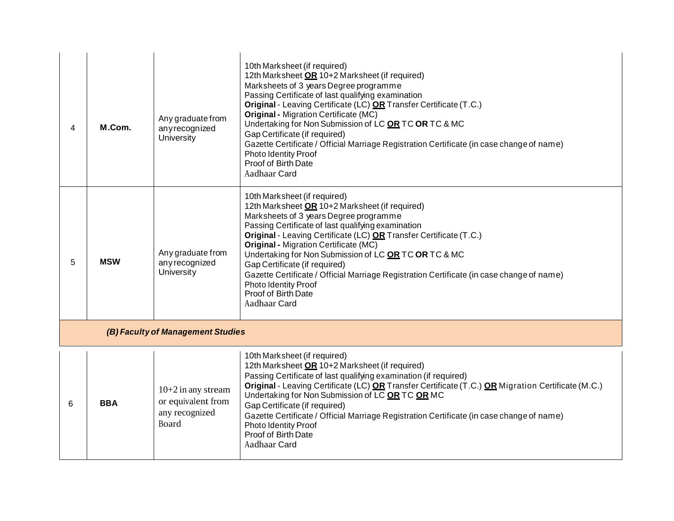| 4                                 | M.Com.     | Any graduate from<br>anyrecognized<br>University                    | 10th Marksheet (if required)<br>12th Marksheet OR 10+2 Marksheet (if required)<br>Marksheets of 3 years Degree programme<br>Passing Certificate of last qualifying examination<br>Original - Leaving Certificate (LC) OR Transfer Certificate (T.C.)<br><b>Original - Migration Certificate (MC)</b><br>Undertaking for Non Submission of LC OR TC OR TC & MC<br>Gap Certificate (if required)<br>Gazette Certificate / Official Marriage Registration Certificate (in case change of name)<br>Photo Identity Proof<br>Proof of Birth Date<br>Aadhaar Card        |
|-----------------------------------|------------|---------------------------------------------------------------------|-------------------------------------------------------------------------------------------------------------------------------------------------------------------------------------------------------------------------------------------------------------------------------------------------------------------------------------------------------------------------------------------------------------------------------------------------------------------------------------------------------------------------------------------------------------------|
| 5                                 | <b>MSW</b> | Any graduate from<br>any recognized<br>University                   | 10th Marksheet (if required)<br>12th Marksheet OR 10+2 Marksheet (if required)<br>Marksheets of 3 years Degree programme<br>Passing Certificate of last qualifying examination<br>Original - Leaving Certificate (LC) OR Transfer Certificate (T.C.)<br><b>Original - Migration Certificate (MC)</b><br>Undertaking for Non Submission of LC OR TC OR TC & MC<br>Gap Certificate (if required)<br>Gazette Certificate / Official Marriage Registration Certificate (in case change of name)<br><b>Photo Identity Proof</b><br>Proof of Birth Date<br>Aadhaar Card |
| (B) Faculty of Management Studies |            |                                                                     |                                                                                                                                                                                                                                                                                                                                                                                                                                                                                                                                                                   |
| 6                                 | <b>BBA</b> | 10+2 in any stream<br>or equivalent from<br>any recognized<br>Board | 10th Marksheet (if required)<br>12th Marksheet OR 10+2 Marksheet (if required)<br>Passing Certificate of last qualifying examination (if required)<br>Original - Leaving Certificate (LC) OR Transfer Certificate (T.C.) OR Migration Certificate (M.C.)<br>Undertaking for Non Submission of LC OR TC OR MC<br>Gap Certificate (if required)<br>Gazette Certificate / Official Marriage Registration Certificate (in case change of name)<br><b>Photo Identity Proof</b><br>Proof of Birth Date<br>Aadhaar Card                                                  |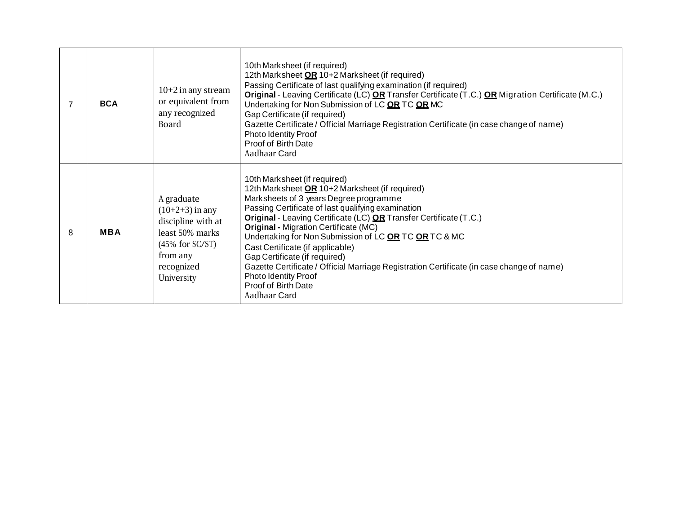|   | <b>BCA</b> | $10+2$ in any stream<br>or equivalent from<br>any recognized<br>Board                                                                  | 10th Marksheet (if required)<br>12th Marksheet OR 10+2 Marksheet (if required)<br>Passing Certificate of last qualifying examination (if required)<br>Original - Leaving Certificate (LC) OR Transfer Certificate (T.C.) OR Migration Certificate (M.C.)<br>Undertaking for Non Submission of LC OR TC OR MC<br>Gap Certificate (if required)<br>Gazette Certificate / Official Marriage Registration Certificate (in case change of name)<br><b>Photo Identity Proof</b><br>Proof of Birth Date<br>Aadhaar Card                                                                               |
|---|------------|----------------------------------------------------------------------------------------------------------------------------------------|------------------------------------------------------------------------------------------------------------------------------------------------------------------------------------------------------------------------------------------------------------------------------------------------------------------------------------------------------------------------------------------------------------------------------------------------------------------------------------------------------------------------------------------------------------------------------------------------|
| 8 | <b>MBA</b> | A graduate<br>$(10+2+3)$ in any<br>discipline with at<br>least 50% marks<br>$(45\%$ for SC/ST)<br>from any<br>recognized<br>University | 10th Marksheet (if required)<br>12th Marksheet OR 10+2 Marksheet (if required)<br>Marksheets of 3 years Degree programme<br>Passing Certificate of last qualifying examination<br>Original - Leaving Certificate (LC) OR Transfer Certificate (T.C.)<br><b>Original - Migration Certificate (MC)</b><br>Undertaking for Non Submission of LC OR TC OR TC & MC<br>Cast Certificate (if applicable)<br>Gap Certificate (if required)<br>Gazette Certificate / Official Marriage Registration Certificate (in case change of name)<br>Photo Identity Proof<br>Proof of Birth Date<br>Aadhaar Card |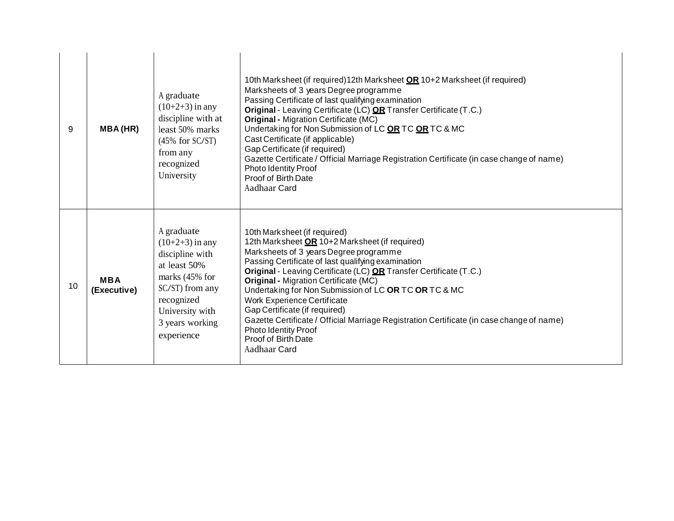| 9  | <b>MBA(HR)</b>            | A graduate<br>$(10+2+3)$ in any<br>discipline with at<br>least 50% marks<br>$(45\%$ for SC/ST)<br>from any<br>recognized<br>University                                       | 10th Marksheet (if required) 12th Marksheet OR 10+2 Marksheet (if required)<br>Marksheets of 3 years Degree programme<br>Passing Certificate of last qualifying examination<br>Original - Leaving Certificate (LC) OR Transfer Certificate (T.C.)<br><b>Original - Migration Certificate (MC)</b><br>Undertaking for Non Submission of LC OR TC OR TC & MC<br>Cast Certificate (if applicable)<br>Gap Certificate (if required)<br>Gazette Certificate / Official Marriage Registration Certificate (in case change of name)<br><b>Photo Identity Proof</b><br>Proof of Birth Date<br>Aadhaar Card |
|----|---------------------------|------------------------------------------------------------------------------------------------------------------------------------------------------------------------------|----------------------------------------------------------------------------------------------------------------------------------------------------------------------------------------------------------------------------------------------------------------------------------------------------------------------------------------------------------------------------------------------------------------------------------------------------------------------------------------------------------------------------------------------------------------------------------------------------|
| 10 | <b>MBA</b><br>(Executive) | A graduate<br>$(10+2+3)$ in any<br>discipline with<br>at least 50%<br>marks $(45\%$ for<br>SC/ST) from any<br>recognized<br>University with<br>3 years working<br>experience | 10th Marksheet (if required)<br>12th Marksheet OR 10+2 Marksheet (if required)<br>Marksheets of 3 years Degree programme<br>Passing Certificate of last qualifying examination<br>Original - Leaving Certificate (LC) OR Transfer Certificate (T.C.)<br><b>Original - Migration Certificate (MC)</b><br>Undertaking for Non Submission of LC OR TC OR TC & MC<br><b>Work Experience Certificate</b><br>Gap Certificate (if required)<br>Gazette Certificate / Official Marriage Registration Certificate (in case change of name)<br>Photo Identity Proof<br>Proof of Birth Date<br>Aadhaar Card   |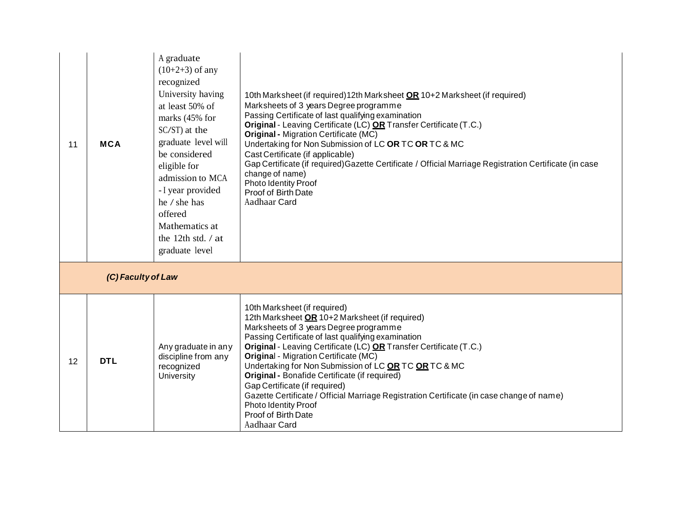| 11 | <b>MCA</b>         | A graduate<br>$(10+2+3)$ of any<br>recognized<br>University having<br>at least 50% of<br>marks (45% for<br>SC/ST) at the<br>graduate level will<br>be considered<br>eligible for<br>admission to MCA<br>- I year provided<br>he / she has<br>offered<br>Mathematics at<br>the 12th std. $/$ at<br>graduate level | 10th Marksheet (if required) 12th Marksheet <b>OR</b> 10+2 Marksheet (if required)<br>Marksheets of 3 years Degree programme<br>Passing Certificate of last qualifying examination<br>Original - Leaving Certificate (LC) OR Transfer Certificate (T.C.)<br><b>Original - Migration Certificate (MC)</b><br>Undertaking for Non Submission of LC OR TC OR TC & MC<br>Cast Certificate (if applicable)<br>Gap Certificate (if required) Gazette Certificate / Official Marriage Registration Certificate (in case<br>change of name)<br>Photo Identity Proof<br>Proof of Birth Date<br>Aadhaar Card                        |  |  |
|----|--------------------|------------------------------------------------------------------------------------------------------------------------------------------------------------------------------------------------------------------------------------------------------------------------------------------------------------------|---------------------------------------------------------------------------------------------------------------------------------------------------------------------------------------------------------------------------------------------------------------------------------------------------------------------------------------------------------------------------------------------------------------------------------------------------------------------------------------------------------------------------------------------------------------------------------------------------------------------------|--|--|
|    | (C) Faculty of Law |                                                                                                                                                                                                                                                                                                                  |                                                                                                                                                                                                                                                                                                                                                                                                                                                                                                                                                                                                                           |  |  |
| 12 | <b>DTL</b>         | Any graduate in any<br>discipline from any<br>recognized<br><b>University</b>                                                                                                                                                                                                                                    | 10th Marksheet (if required)<br>12th Marksheet OR 10+2 Marksheet (if required)<br>Marksheets of 3 years Degree programme<br>Passing Certificate of last qualifying examination<br>Original - Leaving Certificate (LC) OR Transfer Certificate (T.C.)<br><b>Original - Migration Certificate (MC)</b><br>Undertaking for Non Submission of LC OR TC OR TC & MC<br><b>Original - Bonafide Certificate (if required)</b><br>Gap Certificate (if required)<br>Gazette Certificate / Official Marriage Registration Certificate (in case change of name)<br><b>Photo Identity Proof</b><br>Proof of Birth Date<br>Aadhaar Card |  |  |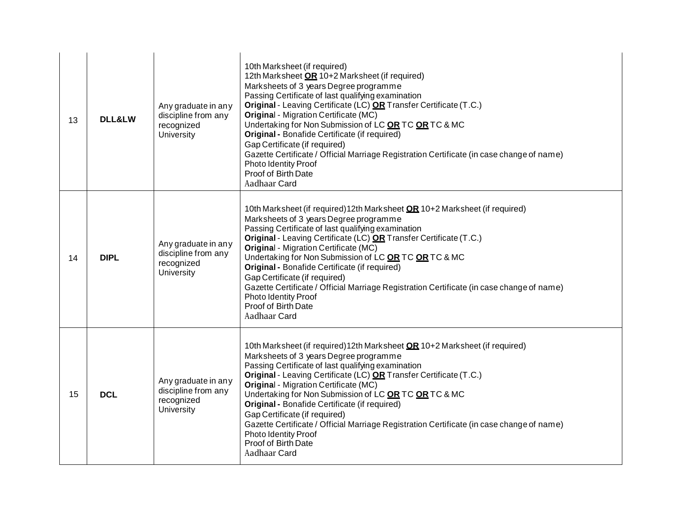| 13 | <b>DLL&amp;LW</b> | Any graduate in any<br>discipline from any<br>recognized<br>University        | 10th Marksheet (if required)<br>12th Marksheet OR 10+2 Marksheet (if required)<br>Marksheets of 3 years Degree programme<br>Passing Certificate of last qualifying examination<br>Original - Leaving Certificate (LC) OR Transfer Certificate (T.C.)<br><b>Original - Migration Certificate (MC)</b><br>Undertaking for Non Submission of LC OR TC OR TC & MC<br>Original - Bonafide Certificate (if required)<br>Gap Certificate (if required)<br>Gazette Certificate / Official Marriage Registration Certificate (in case change of name)<br><b>Photo Identity Proof</b><br>Proof of Birth Date<br>Aadhaar Card            |
|----|-------------------|-------------------------------------------------------------------------------|-------------------------------------------------------------------------------------------------------------------------------------------------------------------------------------------------------------------------------------------------------------------------------------------------------------------------------------------------------------------------------------------------------------------------------------------------------------------------------------------------------------------------------------------------------------------------------------------------------------------------------|
| 14 | <b>DIPL</b>       | Any graduate in any<br>discipline from any<br>recognized<br>University        | 10th Marksheet (if required) 12th Marksheet <b>OR</b> 10+2 Marksheet (if required)<br>Marksheets of 3 years Degree programme<br>Passing Certificate of last qualifying examination<br>Original - Leaving Certificate (LC) OR Transfer Certificate (T.C.)<br><b>Original - Migration Certificate (MC)</b><br>Undertaking for Non Submission of LC OR TC OR TC & MC<br><b>Original - Bonafide Certificate (if required)</b><br>Gap Certificate (if required)<br>Gazette Certificate / Official Marriage Registration Certificate (in case change of name)<br><b>Photo Identity Proof</b><br>Proof of Birth Date<br>Aadhaar Card |
| 15 | <b>DCL</b>        | Any graduate in any<br>discipline from any<br>recognized<br><b>University</b> | 10th Marksheet (if required) 12th Marksheet <b>OR</b> 10+2 Marksheet (if required)<br>Marksheets of 3 years Degree programme<br>Passing Certificate of last qualifying examination<br>Original - Leaving Certificate (LC) OR Transfer Certificate (T.C.)<br><b>Original - Migration Certificate (MC)</b><br>Undertaking for Non Submission of LC OR TC OR TC & MC<br>Original - Bonafide Certificate (if required)<br>Gap Certificate (if required)<br>Gazette Certificate / Official Marriage Registration Certificate (in case change of name)<br>Photo Identity Proof<br>Proof of Birth Date<br>Aadhaar Card               |